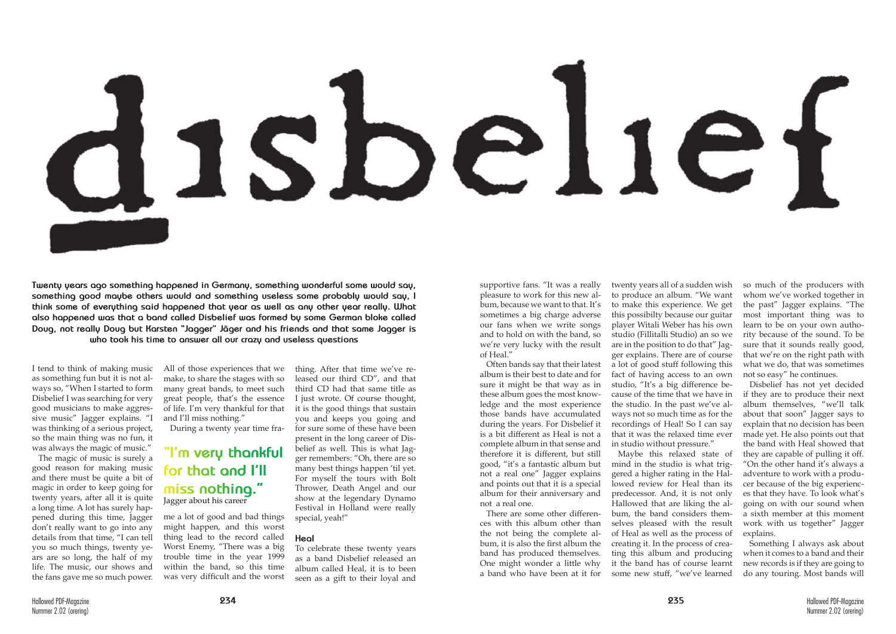



**Twenty years ago something happened in Germany, something wonderful some would say, something good maybe others would and something useless some probably would say, I think some of everything said happened that year as well as any other year really. What also happened was that a band called Disbelief was formed by some German bloke called Doug, not really Doug but Karsten "Jagger" Jäger and his friends and that same Jagger is who took his time to answer all our crazy and useless questions**

as something fun but it is not always so, "When I started to form Disbelief I was searching for very good musicians to make aggressive music" Jagger explains. "I was thinking of a serious project, so the main thing was no fun, it was always the magic of music."

I tend to think of making music All of those experiences that we make, to share the stages with so many great bands, to meet such great people, that's the essence of life. I'm very thankful for that and I'll miss nothing."

The magic of music is surely a good reason for making music and there must be quite a bit of magic in order to keep going for twenty years, after all it is quite a long time. A lot has surely happened during this time, Jagger don't really want to go into any details from that time, "I can tell you so much things, twenty years are so long, the half of my life. The music, our shows and the fans gave me so much power.

During a twenty year time fra-

me a lot of good and bad things might happen, and this worst thing lead to the record called Worst Enemy, "There was a big trouble time in the year 1999 within the band, so this time was very difficult and the worst thing. After that time we've released our third CD", and that third CD had that same title as I just wrote. Of course thought, it is the good things that sustain you and keeps you going and for sure some of these have been present in the long career of Disbelief as well. This is what Jagger remembers: "Oh, there are so many best things happen 'til yet. For myself the tours with Bolt Thrower, Death Angel and our show at the legendary Dynamo Festival in Holland were really special, yeah!"

## **Heal**

To celebrate these twenty years as a band Disbelief released an album called Heal, it is to been seen as a gift to their loyal and

## **"I'm very thankful for that and I'll miss nothing."** Jagger about his career

supportive fans. "It was a really pleasure to work for this new album, because we want to that. It's sometimes a big charge adverse our fans when we write songs and to hold on with the band, so we're very lucky with the result of Heal."

Often bands say that their latest album is their best to date and for sure it might be that way as in these album goes the most knowledge and the most experience those bands have accumulated during the years. For Disbelief it is a bit different as Heal is not a complete album in that sense and therefore it is different, but still good, "it's a fantastic album but not a real one" Jagger explains and points out that it is a special album for their anniversary and not a real one.

There are some other differences with this album other than the not being the complete album, it is also the first album the band has produced themselves. One might wonder a little why a band who have been at it for

twenty years all of a sudden wish to produce an album. "We want to make this experience. We get this possibilty because our guitar player Witali Weber has his own studio (Fillitalli Studio) an so we are in the position to do that" Jagger explains. There are of course a lot of good stuff following this fact of having access to an own studio, "It's a big difference because of the time that we have in the studio. In the past we've always not so much time as for the recordings of Heal! So I can say that it was the relaxed time ever in studio without pressure."

Maybe this relaxed state of mind in the studio is what triggered a higher rating in the Hallowed review for Heal than its predecessor. And, it is not only Hallowed that are liking the album, the band considers themselves pleased with the result of Heal as well as the process of creating it. In the process of creating this album and producing it the band has of course learnt some new stuff, "we've learned

so much of the producers with whom we've worked together in the past" Jagger explains. "The most important thing was to learn to be on your own authority because of the sound. To be sure that it sounds really good, that we're on the right path with what we do, that was sometimes not so easy" he continues.

Disbelief has not yet decided if they are to produce their next album themselves, "we'll talk about that soon" Jagger says to explain that no decision has been made yet. He also points out that the band with Heal showed that they are capable of pulling it off. "On the other hand it's always a adventure to work with a producer because of the big experiences that they have. To look what's going on with our sound when a sixth member at this moment work with us together" Jagger explains.

Something I always ask about when it comes to a band and their new records is if they are going to do any touring. Most bands will